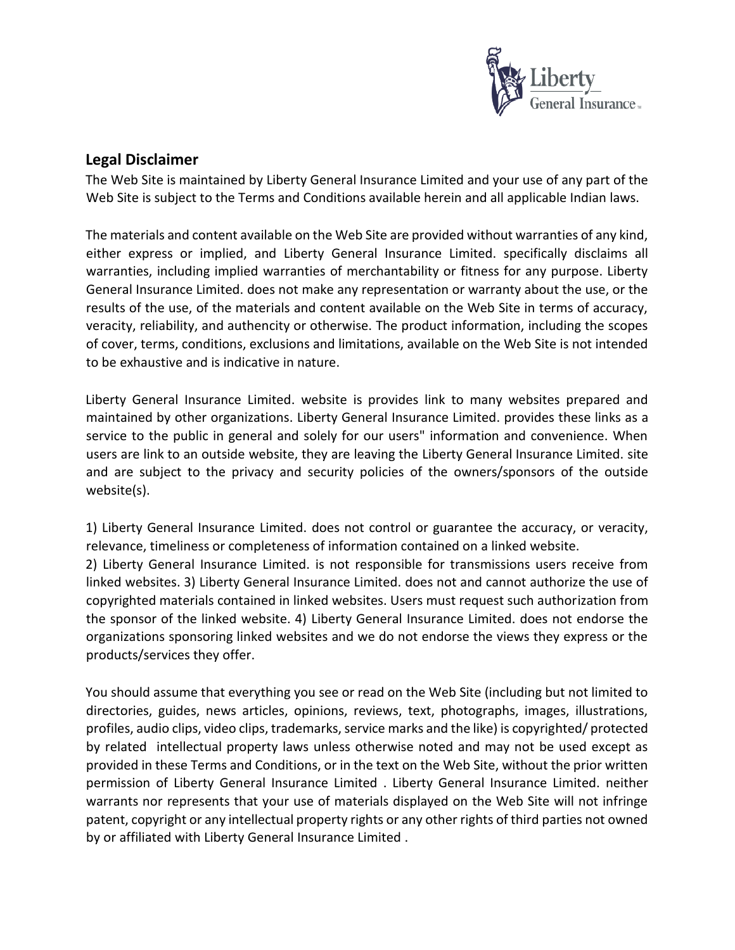

### **Legal Disclaimer**

The Web Site is maintained by Liberty General Insurance Limited and your use of any part of the Web Site is subject to the Terms and Conditions available herein and all applicable Indian laws.

The materials and content available on the Web Site are provided without warranties of any kind, either express or implied, and Liberty General Insurance Limited. specifically disclaims all warranties, including implied warranties of merchantability or fitness for any purpose. Liberty General Insurance Limited. does not make any representation or warranty about the use, or the results of the use, of the materials and content available on the Web Site in terms of accuracy, veracity, reliability, and authencity or otherwise. The product information, including the scopes of cover, terms, conditions, exclusions and limitations, available on the Web Site is not intended to be exhaustive and is indicative in nature.

Liberty General Insurance Limited. website is provides link to many websites prepared and maintained by other organizations. Liberty General Insurance Limited. provides these links as a service to the public in general and solely for our users" information and convenience. When users are link to an outside website, they are leaving the Liberty General Insurance Limited. site and are subject to the privacy and security policies of the owners/sponsors of the outside website(s).

1) Liberty General Insurance Limited. does not control or guarantee the accuracy, or veracity, relevance, timeliness or completeness of information contained on a linked website.

2) Liberty General Insurance Limited. is not responsible for transmissions users receive from linked websites. 3) Liberty General Insurance Limited. does not and cannot authorize the use of copyrighted materials contained in linked websites. Users must request such authorization from the sponsor of the linked website. 4) Liberty General Insurance Limited. does not endorse the organizations sponsoring linked websites and we do not endorse the views they express or the products/services they offer.

You should assume that everything you see or read on the Web Site (including but not limited to directories, guides, news articles, opinions, reviews, text, photographs, images, illustrations, profiles, audio clips, video clips, trademarks, service marks and the like) is copyrighted/ protected by related intellectual property laws unless otherwise noted and may not be used except as provided in these Terms and Conditions, or in the text on the Web Site, without the prior written permission of Liberty General Insurance Limited . Liberty General Insurance Limited. neither warrants nor represents that your use of materials displayed on the Web Site will not infringe patent, copyright or any intellectual property rights or any other rights of third parties not owned by or affiliated with Liberty General Insurance Limited .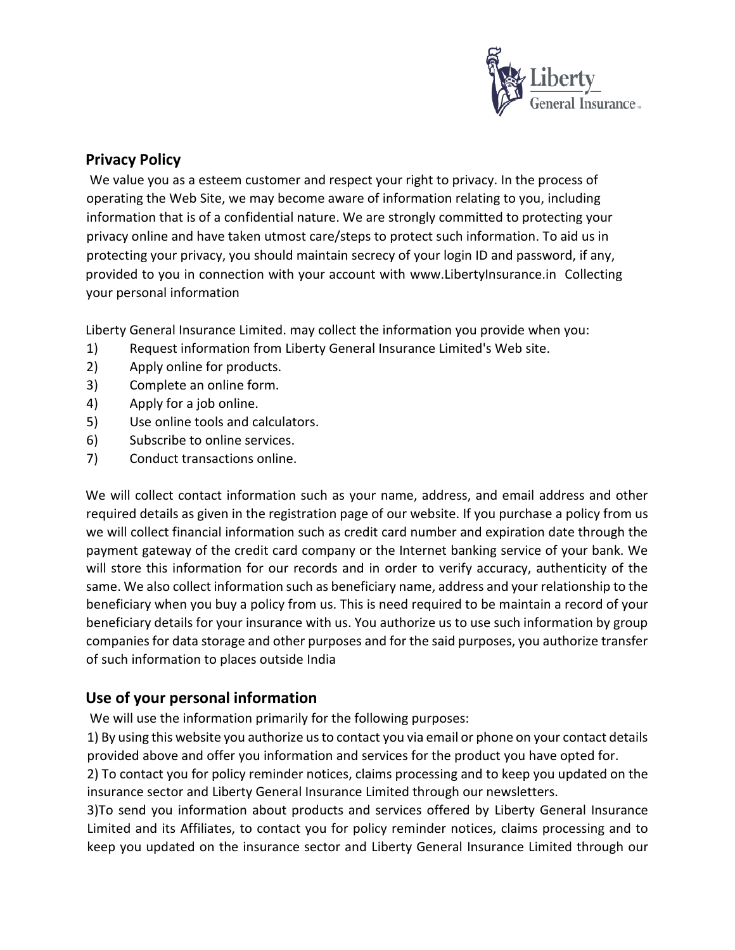

### **Privacy Policy**

We value you as a esteem customer and respect your right to privacy. In the process of operating the Web Site, we may become aware of information relating to you, including information that is of a confidential nature. We are strongly committed to protecting your privacy online and have taken utmost care/steps to protect such information. To aid us in protecting your privacy, you should maintain secrecy of your login ID and password, if any, provided to you in connection with your account with www.LibertyInsurance.in Collecting your personal information

Liberty General Insurance Limited. may collect the information you provide when you:

- 1) Request information from Liberty General Insurance Limited's Web site.
- 2) Apply online for products.
- 3) Complete an online form.
- 4) Apply for a job online.
- 5) Use online tools and calculators.
- 6) Subscribe to online services.
- 7) Conduct transactions online.

We will collect contact information such as your name, address, and email address and other required details as given in the registration page of our website. If you purchase a policy from us we will collect financial information such as credit card number and expiration date through the payment gateway of the credit card company or the Internet banking service of your bank. We will store this information for our records and in order to verify accuracy, authenticity of the same. We also collect information such as beneficiary name, address and your relationship to the beneficiary when you buy a policy from us. This is need required to be maintain a record of your beneficiary details for your insurance with us. You authorize us to use such information by group companies for data storage and other purposes and for the said purposes, you authorize transfer of such information to places outside India

# **Use of your personal information**

We will use the information primarily for the following purposes:

1) By using this website you authorize us to contact you via email or phone on your contact details provided above and offer you information and services for the product you have opted for.

2) To contact you for policy reminder notices, claims processing and to keep you updated on the insurance sector and Liberty General Insurance Limited through our newsletters.

3)To send you information about products and services offered by Liberty General Insurance Limited and its Affiliates, to contact you for policy reminder notices, claims processing and to keep you updated on the insurance sector and Liberty General Insurance Limited through our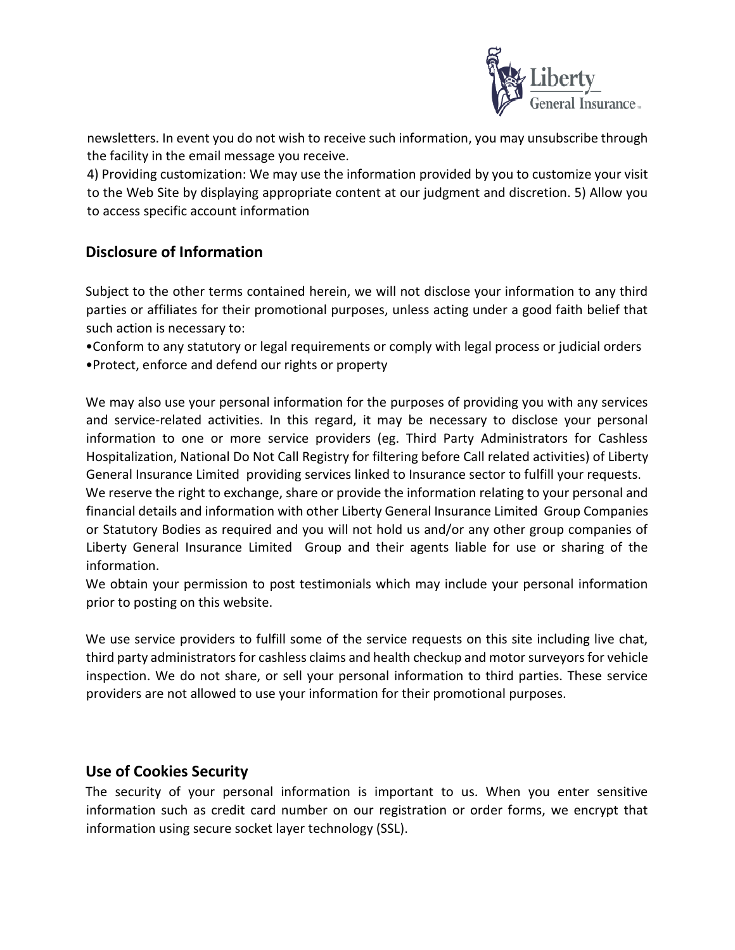

newsletters. In event you do not wish to receive such information, you may unsubscribe through the facility in the email message you receive.

4) Providing customization: We may use the information provided by you to customize your visit to the Web Site by displaying appropriate content at our judgment and discretion. 5) Allow you to access specific account information

# **Disclosure of Information**

Subject to the other terms contained herein, we will not disclose your information to any third parties or affiliates for their promotional purposes, unless acting under a good faith belief that such action is necessary to:

•Conform to any statutory or legal requirements or comply with legal process or judicial orders •Protect, enforce and defend our rights or property

We may also use your personal information for the purposes of providing you with any services and service-related activities. In this regard, it may be necessary to disclose your personal information to one or more service providers (eg. Third Party Administrators for Cashless Hospitalization, National Do Not Call Registry for filtering before Call related activities) of Liberty General Insurance Limited providing services linked to Insurance sector to fulfill your requests.

We reserve the right to exchange, share or provide the information relating to your personal and financial details and information with other Liberty General Insurance Limited Group Companies or Statutory Bodies as required and you will not hold us and/or any other group companies of Liberty General Insurance Limited Group and their agents liable for use or sharing of the information.

We obtain your permission to post testimonials which may include your personal information prior to posting on this website.

We use service providers to fulfill some of the service requests on this site including live chat, third party administrators for cashless claims and health checkup and motor surveyors for vehicle inspection. We do not share, or sell your personal information to third parties. These service providers are not allowed to use your information for their promotional purposes.

### **Use of Cookies Security**

The security of your personal information is important to us. When you enter sensitive information such as credit card number on our registration or order forms, we encrypt that information using secure socket layer technology (SSL).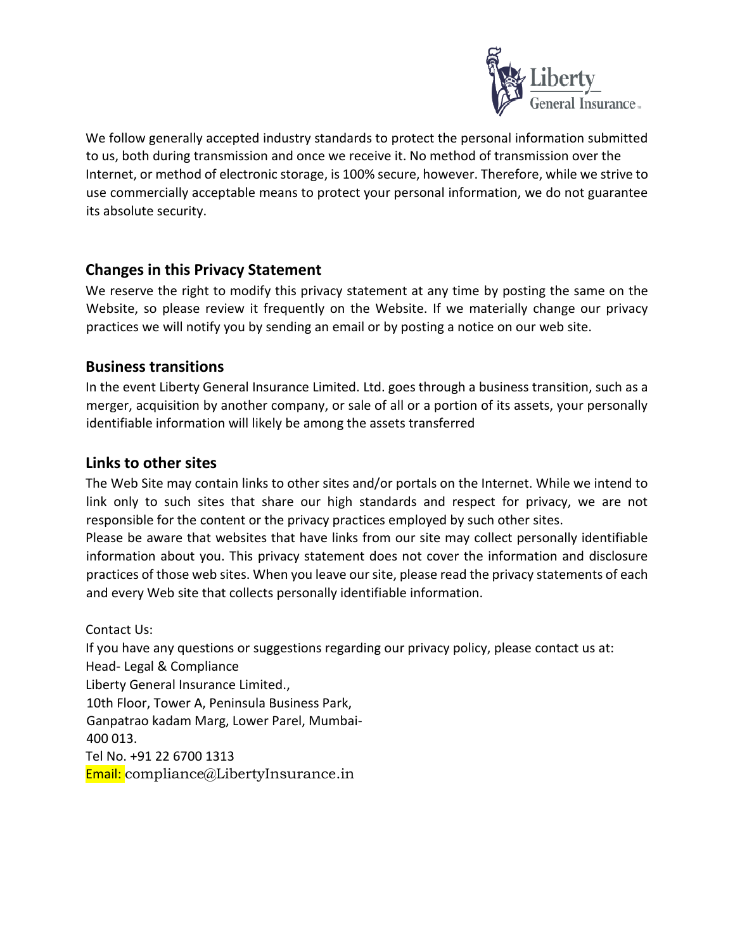

We follow generally accepted industry standards to protect the personal information submitted to us, both during transmission and once we receive it. No method of transmission over the Internet, or method of electronic storage, is 100% secure, however. Therefore, while we strive to use commercially acceptable means to protect your personal information, we do not guarantee its absolute security.

### **Changes in this Privacy Statement**

We reserve the right to modify this privacy statement at any time by posting the same on the Website, so please review it frequently on the Website. If we materially change our privacy practices we will notify you by sending an email or by posting a notice on our web site.

### **Business transitions**

In the event Liberty General Insurance Limited. Ltd. goes through a business transition, such as a merger, acquisition by another company, or sale of all or a portion of its assets, your personally identifiable information will likely be among the assets transferred

## **Links to other sites**

The Web Site may contain links to other sites and/or portals on the Internet. While we intend to link only to such sites that share our high standards and respect for privacy, we are not responsible for the content or the privacy practices employed by such other sites.

Please be aware that websites that have links from our site may collect personally identifiable information about you. This privacy statement does not cover the information and disclosure practices of those web sites. When you leave our site, please read the privacy statements of each and every Web site that collects personally identifiable information.

Contact Us:

If you have any questions or suggestions regarding our privacy policy, please contact us at: Head- Legal & Compliance Liberty General Insurance Limited., 10th Floor, Tower A, Peninsula Business Park, Ganpatrao kadam Marg, Lower Parel, Mumbai-400 013. Tel No. +91 22 6700 1313 Email: compliance@LibertyInsurance.in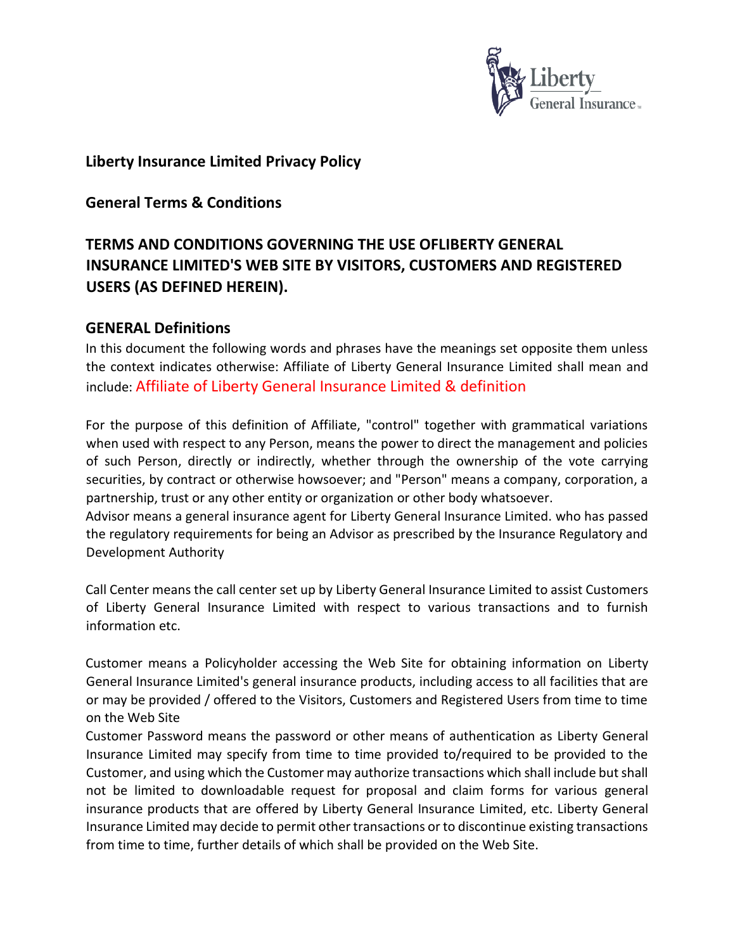

## **Liberty Insurance Limited Privacy Policy**

**General Terms & Conditions** 

# **TERMS AND CONDITIONS GOVERNING THE USE OFLIBERTY GENERAL INSURANCE LIMITED'S WEB SITE BY VISITORS, CUSTOMERS AND REGISTERED USERS (AS DEFINED HEREIN).**

### **GENERAL Definitions**

In this document the following words and phrases have the meanings set opposite them unless the context indicates otherwise: Affiliate of Liberty General Insurance Limited shall mean and include: Affiliate of Liberty General Insurance Limited & definition

For the purpose of this definition of Affiliate, "control" together with grammatical variations when used with respect to any Person, means the power to direct the management and policies of such Person, directly or indirectly, whether through the ownership of the vote carrying securities, by contract or otherwise howsoever; and "Person" means a company, corporation, a partnership, trust or any other entity or organization or other body whatsoever.

Advisor means a general insurance agent for Liberty General Insurance Limited. who has passed the regulatory requirements for being an Advisor as prescribed by the Insurance Regulatory and Development Authority

Call Center means the call center set up by Liberty General Insurance Limited to assist Customers of Liberty General Insurance Limited with respect to various transactions and to furnish information etc.

Customer means a Policyholder accessing the Web Site for obtaining information on Liberty General Insurance Limited's general insurance products, including access to all facilities that are or may be provided / offered to the Visitors, Customers and Registered Users from time to time on the Web Site

Customer Password means the password or other means of authentication as Liberty General Insurance Limited may specify from time to time provided to/required to be provided to the Customer, and using which the Customer may authorize transactions which shall include but shall not be limited to downloadable request for proposal and claim forms for various general insurance products that are offered by Liberty General Insurance Limited, etc. Liberty General Insurance Limited may decide to permit other transactions or to discontinue existing transactions from time to time, further details of which shall be provided on the Web Site.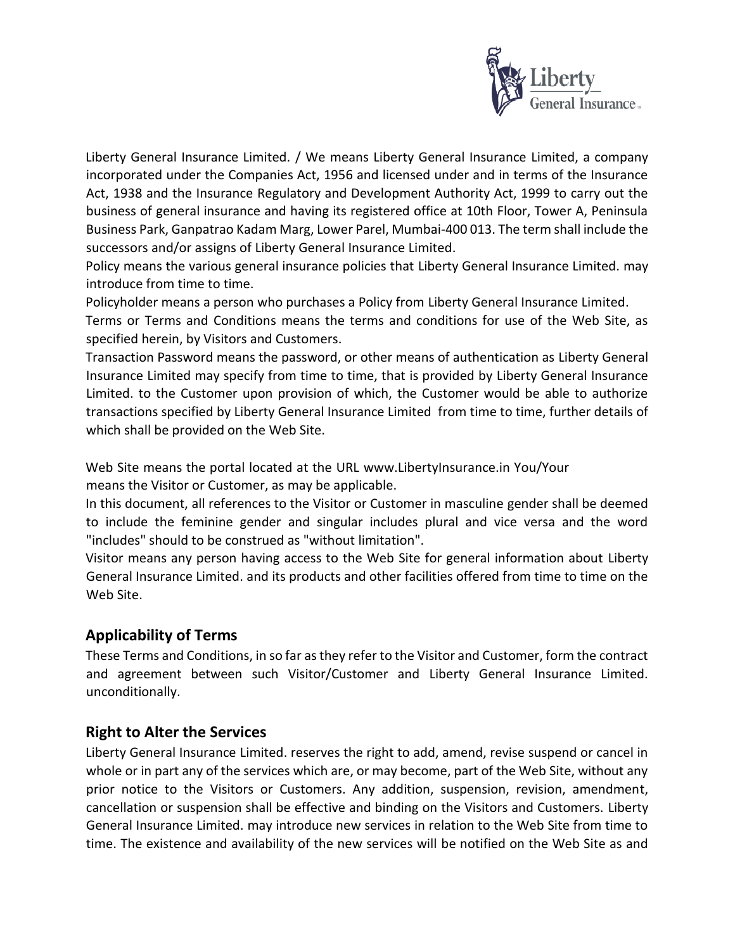

Liberty General Insurance Limited. / We means Liberty General Insurance Limited, a company incorporated under the Companies Act, 1956 and licensed under and in terms of the Insurance Act, 1938 and the Insurance Regulatory and Development Authority Act, 1999 to carry out the business of general insurance and having its registered office at 10th Floor, Tower A, Peninsula Business Park, Ganpatrao Kadam Marg, Lower Parel, Mumbai-400 013. The term shall include the successors and/or assigns of Liberty General Insurance Limited.

Policy means the various general insurance policies that Liberty General Insurance Limited. may introduce from time to time.

Policyholder means a person who purchases a Policy from Liberty General Insurance Limited.

Terms or Terms and Conditions means the terms and conditions for use of the Web Site, as specified herein, by Visitors and Customers.

Transaction Password means the password, or other means of authentication as Liberty General Insurance Limited may specify from time to time, that is provided by Liberty General Insurance Limited. to the Customer upon provision of which, the Customer would be able to authorize transactions specified by Liberty General Insurance Limited from time to time, further details of which shall be provided on the Web Site.

Web Site means the portal located at the URL www.LibertyInsurance.in You/Your means the Visitor or Customer, as may be applicable.

In this document, all references to the Visitor or Customer in masculine gender shall be deemed to include the feminine gender and singular includes plural and vice versa and the word "includes" should to be construed as "without limitation".

Visitor means any person having access to the Web Site for general information about Liberty General Insurance Limited. and its products and other facilities offered from time to time on the Web Site.

# **Applicability of Terms**

These Terms and Conditions, in so far as they refer to the Visitor and Customer, form the contract and agreement between such Visitor/Customer and Liberty General Insurance Limited. unconditionally.

### **Right to Alter the Services**

Liberty General Insurance Limited. reserves the right to add, amend, revise suspend or cancel in whole or in part any of the services which are, or may become, part of the Web Site, without any prior notice to the Visitors or Customers. Any addition, suspension, revision, amendment, cancellation or suspension shall be effective and binding on the Visitors and Customers. Liberty General Insurance Limited. may introduce new services in relation to the Web Site from time to time. The existence and availability of the new services will be notified on the Web Site as and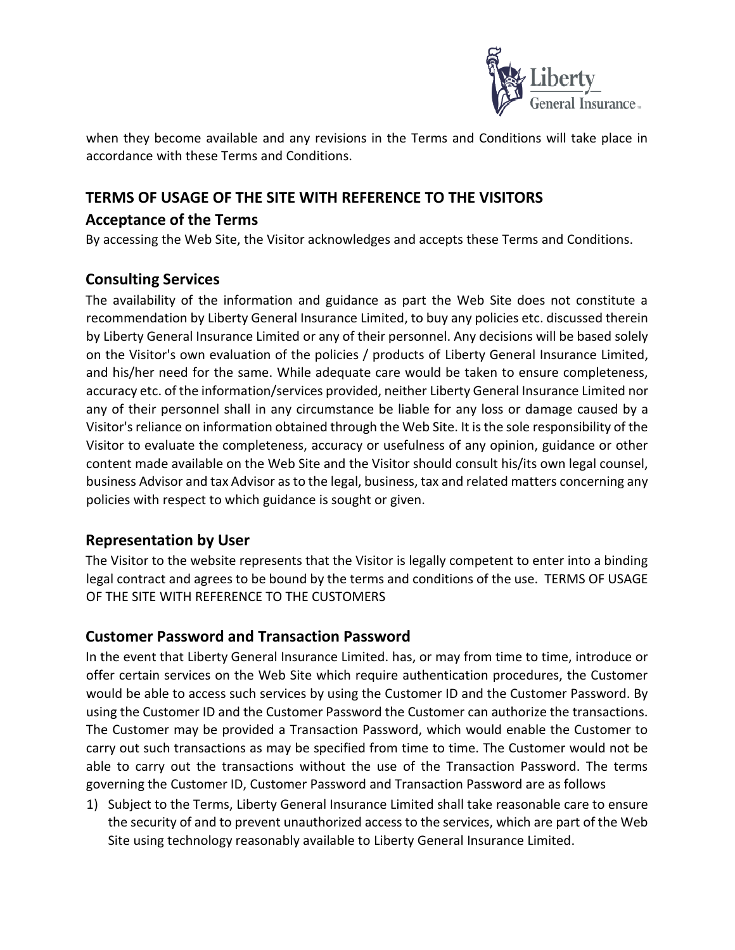

when they become available and any revisions in the Terms and Conditions will take place in accordance with these Terms and Conditions.

## **TERMS OF USAGE OF THE SITE WITH REFERENCE TO THE VISITORS**

### **Acceptance of the Terms**

By accessing the Web Site, the Visitor acknowledges and accepts these Terms and Conditions.

## **Consulting Services**

The availability of the information and guidance as part the Web Site does not constitute a recommendation by Liberty General Insurance Limited, to buy any policies etc. discussed therein by Liberty General Insurance Limited or any of their personnel. Any decisions will be based solely on the Visitor's own evaluation of the policies / products of Liberty General Insurance Limited, and his/her need for the same. While adequate care would be taken to ensure completeness, accuracy etc. of the information/services provided, neither Liberty General Insurance Limited nor any of their personnel shall in any circumstance be liable for any loss or damage caused by a Visitor's reliance on information obtained through the Web Site. It is the sole responsibility of the Visitor to evaluate the completeness, accuracy or usefulness of any opinion, guidance or other content made available on the Web Site and the Visitor should consult his/its own legal counsel, business Advisor and tax Advisor as to the legal, business, tax and related matters concerning any policies with respect to which guidance is sought or given.

# **Representation by User**

The Visitor to the website represents that the Visitor is legally competent to enter into a binding legal contract and agrees to be bound by the terms and conditions of the use. TERMS OF USAGE OF THE SITE WITH REFERENCE TO THE CUSTOMERS

### **Customer Password and Transaction Password**

In the event that Liberty General Insurance Limited. has, or may from time to time, introduce or offer certain services on the Web Site which require authentication procedures, the Customer would be able to access such services by using the Customer ID and the Customer Password. By using the Customer ID and the Customer Password the Customer can authorize the transactions. The Customer may be provided a Transaction Password, which would enable the Customer to carry out such transactions as may be specified from time to time. The Customer would not be able to carry out the transactions without the use of the Transaction Password. The terms governing the Customer ID, Customer Password and Transaction Password are as follows

1) Subject to the Terms, Liberty General Insurance Limited shall take reasonable care to ensure the security of and to prevent unauthorized access to the services, which are part of the Web Site using technology reasonably available to Liberty General Insurance Limited.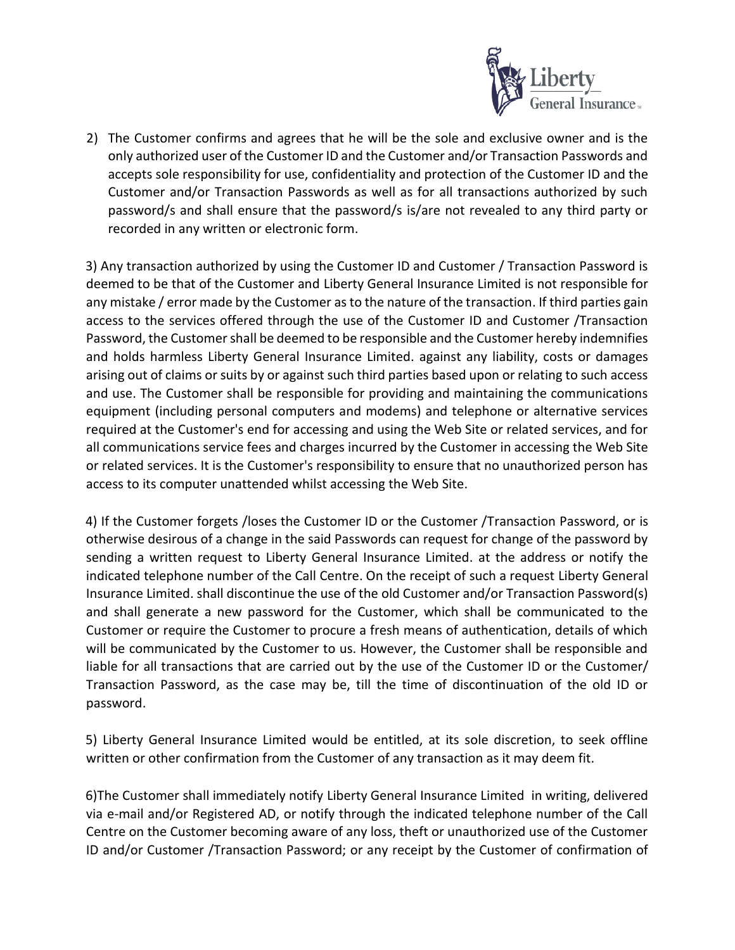

2) The Customer confirms and agrees that he will be the sole and exclusive owner and is the only authorized user of the Customer ID and the Customer and/or Transaction Passwords and accepts sole responsibility for use, confidentiality and protection of the Customer ID and the Customer and/or Transaction Passwords as well as for all transactions authorized by such password/s and shall ensure that the password/s is/are not revealed to any third party or recorded in any written or electronic form.

3) Any transaction authorized by using the Customer ID and Customer / Transaction Password is deemed to be that of the Customer and Liberty General Insurance Limited is not responsible for any mistake / error made by the Customer as to the nature of the transaction. If third parties gain access to the services offered through the use of the Customer ID and Customer /Transaction Password, the Customer shall be deemed to be responsible and the Customer hereby indemnifies and holds harmless Liberty General Insurance Limited. against any liability, costs or damages arising out of claims or suits by or against such third parties based upon or relating to such access and use. The Customer shall be responsible for providing and maintaining the communications equipment (including personal computers and modems) and telephone or alternative services required at the Customer's end for accessing and using the Web Site or related services, and for all communications service fees and charges incurred by the Customer in accessing the Web Site or related services. It is the Customer's responsibility to ensure that no unauthorized person has access to its computer unattended whilst accessing the Web Site.

4) If the Customer forgets /loses the Customer ID or the Customer /Transaction Password, or is otherwise desirous of a change in the said Passwords can request for change of the password by sending a written request to Liberty General Insurance Limited. at the address or notify the indicated telephone number of the Call Centre. On the receipt of such a request Liberty General Insurance Limited. shall discontinue the use of the old Customer and/or Transaction Password(s) and shall generate a new password for the Customer, which shall be communicated to the Customer or require the Customer to procure a fresh means of authentication, details of which will be communicated by the Customer to us. However, the Customer shall be responsible and liable for all transactions that are carried out by the use of the Customer ID or the Customer/ Transaction Password, as the case may be, till the time of discontinuation of the old ID or password.

5) Liberty General Insurance Limited would be entitled, at its sole discretion, to seek offline written or other confirmation from the Customer of any transaction as it may deem fit.

6)The Customer shall immediately notify Liberty General Insurance Limited in writing, delivered via e-mail and/or Registered AD, or notify through the indicated telephone number of the Call Centre on the Customer becoming aware of any loss, theft or unauthorized use of the Customer ID and/or Customer /Transaction Password; or any receipt by the Customer of confirmation of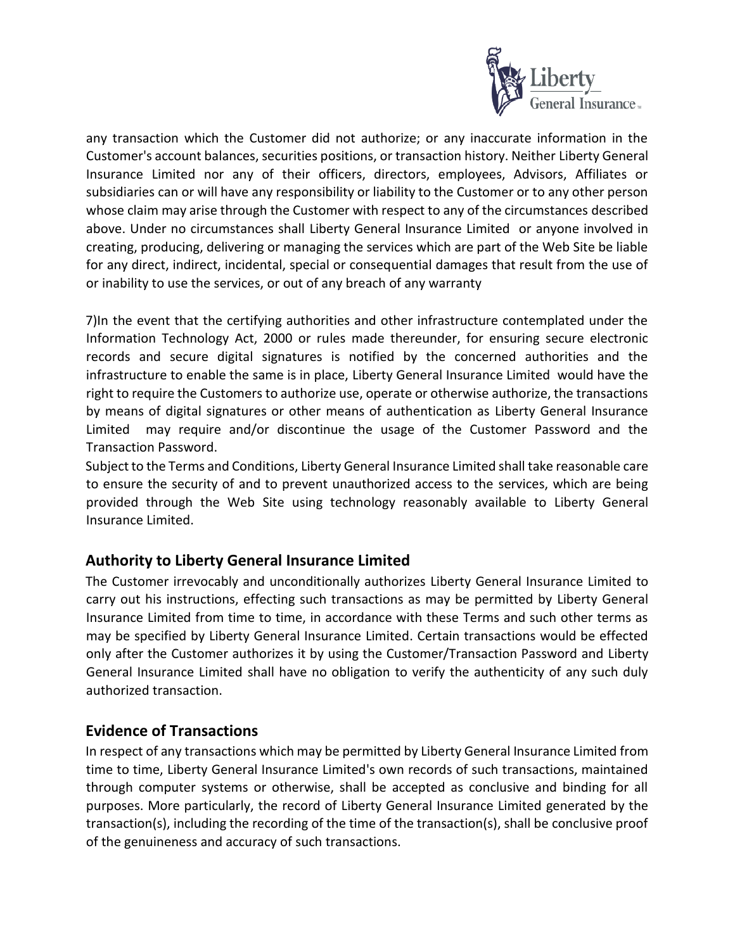

any transaction which the Customer did not authorize; or any inaccurate information in the Customer's account balances, securities positions, or transaction history. Neither Liberty General Insurance Limited nor any of their officers, directors, employees, Advisors, Affiliates or subsidiaries can or will have any responsibility or liability to the Customer or to any other person whose claim may arise through the Customer with respect to any of the circumstances described above. Under no circumstances shall Liberty General Insurance Limited or anyone involved in creating, producing, delivering or managing the services which are part of the Web Site be liable for any direct, indirect, incidental, special or consequential damages that result from the use of or inability to use the services, or out of any breach of any warranty

7)In the event that the certifying authorities and other infrastructure contemplated under the Information Technology Act, 2000 or rules made thereunder, for ensuring secure electronic records and secure digital signatures is notified by the concerned authorities and the infrastructure to enable the same is in place, Liberty General Insurance Limited would have the right to require the Customers to authorize use, operate or otherwise authorize, the transactions by means of digital signatures or other means of authentication as Liberty General Insurance Limited may require and/or discontinue the usage of the Customer Password and the Transaction Password.

Subject to the Terms and Conditions, Liberty General Insurance Limited shall take reasonable care to ensure the security of and to prevent unauthorized access to the services, which are being provided through the Web Site using technology reasonably available to Liberty General Insurance Limited.

# **Authority to Liberty General Insurance Limited**

The Customer irrevocably and unconditionally authorizes Liberty General Insurance Limited to carry out his instructions, effecting such transactions as may be permitted by Liberty General Insurance Limited from time to time, in accordance with these Terms and such other terms as may be specified by Liberty General Insurance Limited. Certain transactions would be effected only after the Customer authorizes it by using the Customer/Transaction Password and Liberty General Insurance Limited shall have no obligation to verify the authenticity of any such duly authorized transaction.

### **Evidence of Transactions**

In respect of any transactions which may be permitted by Liberty General Insurance Limited from time to time, Liberty General Insurance Limited's own records of such transactions, maintained through computer systems or otherwise, shall be accepted as conclusive and binding for all purposes. More particularly, the record of Liberty General Insurance Limited generated by the transaction(s), including the recording of the time of the transaction(s), shall be conclusive proof of the genuineness and accuracy of such transactions.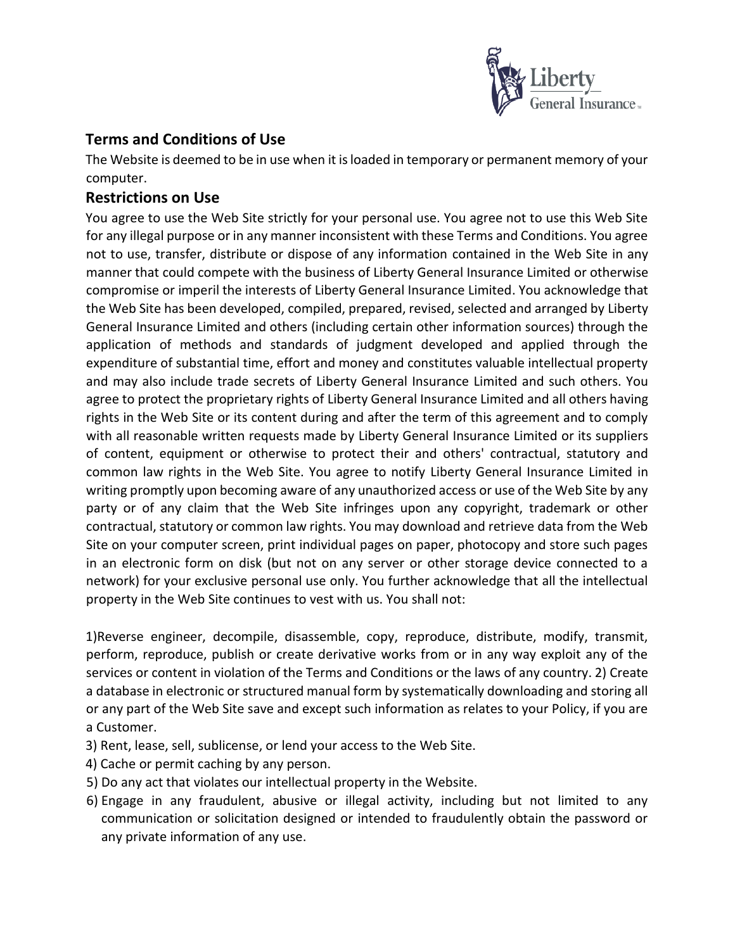

### **Terms and Conditions of Use**

The Website is deemed to be in use when it is loaded in temporary or permanent memory of your computer.

#### **Restrictions on Use**

You agree to use the Web Site strictly for your personal use. You agree not to use this Web Site for any illegal purpose or in any manner inconsistent with these Terms and Conditions. You agree not to use, transfer, distribute or dispose of any information contained in the Web Site in any manner that could compete with the business of Liberty General Insurance Limited or otherwise compromise or imperil the interests of Liberty General Insurance Limited. You acknowledge that the Web Site has been developed, compiled, prepared, revised, selected and arranged by Liberty General Insurance Limited and others (including certain other information sources) through the application of methods and standards of judgment developed and applied through the expenditure of substantial time, effort and money and constitutes valuable intellectual property and may also include trade secrets of Liberty General Insurance Limited and such others. You agree to protect the proprietary rights of Liberty General Insurance Limited and all others having rights in the Web Site or its content during and after the term of this agreement and to comply with all reasonable written requests made by Liberty General Insurance Limited or its suppliers of content, equipment or otherwise to protect their and others' contractual, statutory and common law rights in the Web Site. You agree to notify Liberty General Insurance Limited in writing promptly upon becoming aware of any unauthorized access or use of the Web Site by any party or of any claim that the Web Site infringes upon any copyright, trademark or other contractual, statutory or common law rights. You may download and retrieve data from the Web Site on your computer screen, print individual pages on paper, photocopy and store such pages in an electronic form on disk (but not on any server or other storage device connected to a network) for your exclusive personal use only. You further acknowledge that all the intellectual property in the Web Site continues to vest with us. You shall not:

1)Reverse engineer, decompile, disassemble, copy, reproduce, distribute, modify, transmit, perform, reproduce, publish or create derivative works from or in any way exploit any of the services or content in violation of the Terms and Conditions or the laws of any country. 2) Create a database in electronic or structured manual form by systematically downloading and storing all or any part of the Web Site save and except such information as relates to your Policy, if you are a Customer.

- 3) Rent, lease, sell, sublicense, or lend your access to the Web Site.
- 4) Cache or permit caching by any person.
- 5) Do any act that violates our intellectual property in the Website.
- 6) Engage in any fraudulent, abusive or illegal activity, including but not limited to any communication or solicitation designed or intended to fraudulently obtain the password or any private information of any use.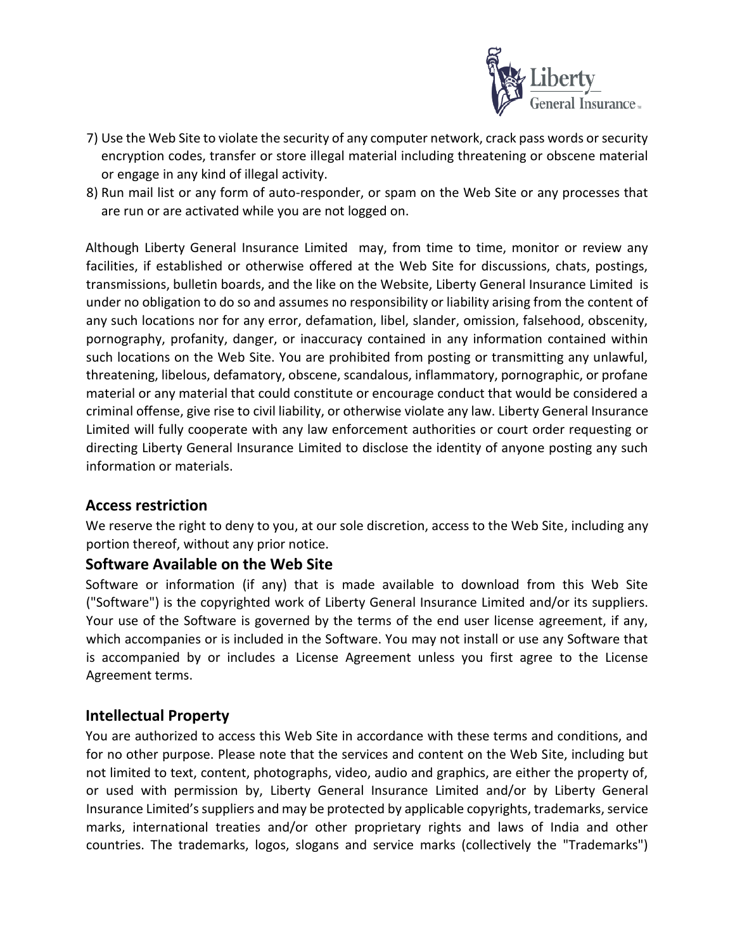

- 7) Use the Web Site to violate the security of any computer network, crack pass words or security encryption codes, transfer or store illegal material including threatening or obscene material or engage in any kind of illegal activity.
- 8) Run mail list or any form of auto-responder, or spam on the Web Site or any processes that are run or are activated while you are not logged on.

Although Liberty General Insurance Limited may, from time to time, monitor or review any facilities, if established or otherwise offered at the Web Site for discussions, chats, postings, transmissions, bulletin boards, and the like on the Website, Liberty General Insurance Limited is under no obligation to do so and assumes no responsibility or liability arising from the content of any such locations nor for any error, defamation, libel, slander, omission, falsehood, obscenity, pornography, profanity, danger, or inaccuracy contained in any information contained within such locations on the Web Site. You are prohibited from posting or transmitting any unlawful, threatening, libelous, defamatory, obscene, scandalous, inflammatory, pornographic, or profane material or any material that could constitute or encourage conduct that would be considered a criminal offense, give rise to civil liability, or otherwise violate any law. Liberty General Insurance Limited will fully cooperate with any law enforcement authorities or court order requesting or directing Liberty General Insurance Limited to disclose the identity of anyone posting any such information or materials.

### **Access restriction**

We reserve the right to deny to you, at our sole discretion, access to the Web Site, including any portion thereof, without any prior notice.

#### **Software Available on the Web Site**

Software or information (if any) that is made available to download from this Web Site ("Software") is the copyrighted work of Liberty General Insurance Limited and/or its suppliers. Your use of the Software is governed by the terms of the end user license agreement, if any, which accompanies or is included in the Software. You may not install or use any Software that is accompanied by or includes a License Agreement unless you first agree to the License Agreement terms.

### **Intellectual Property**

You are authorized to access this Web Site in accordance with these terms and conditions, and for no other purpose. Please note that the services and content on the Web Site, including but not limited to text, content, photographs, video, audio and graphics, are either the property of, or used with permission by, Liberty General Insurance Limited and/or by Liberty General Insurance Limited'ssuppliers and may be protected by applicable copyrights, trademarks, service marks, international treaties and/or other proprietary rights and laws of India and other countries. The trademarks, logos, slogans and service marks (collectively the "Trademarks")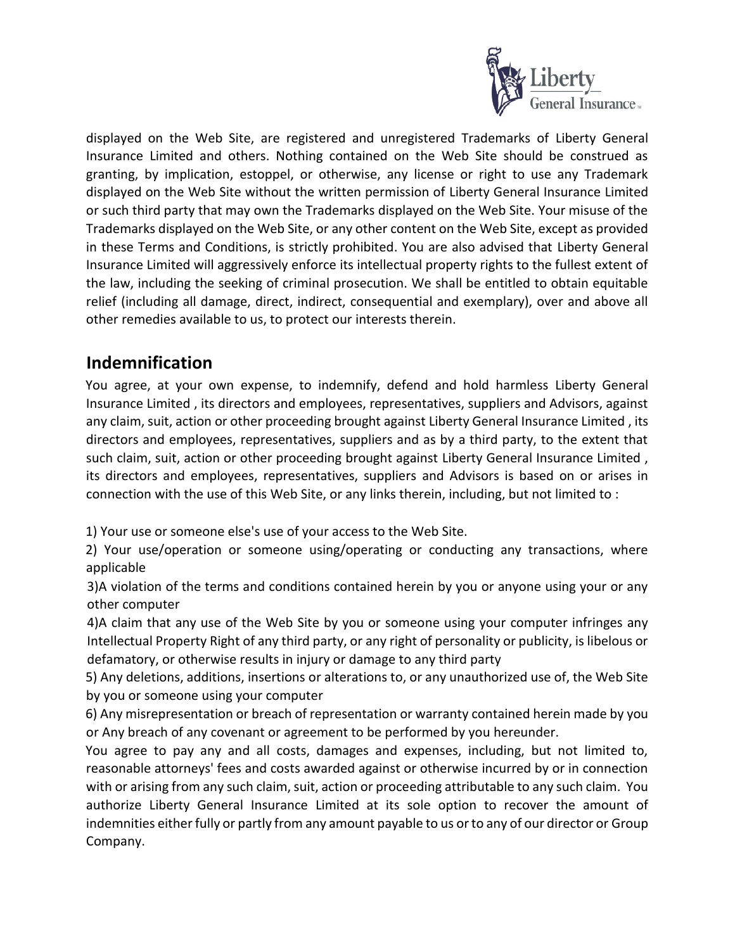

displayed on the Web Site, are registered and unregistered Trademarks of Liberty General Insurance Limited and others. Nothing contained on the Web Site should be construed as granting, by implication, estoppel, or otherwise, any license or right to use any Trademark displayed on the Web Site without the written permission of Liberty General Insurance Limited or such third party that may own the Trademarks displayed on the Web Site. Your misuse of the Trademarks displayed on the Web Site, or any other content on the Web Site, except as provided in these Terms and Conditions, is strictly prohibited. You are also advised that Liberty General Insurance Limited will aggressively enforce its intellectual property rights to the fullest extent of the law, including the seeking of criminal prosecution. We shall be entitled to obtain equitable relief (including all damage, direct, indirect, consequential and exemplary), over and above all other remedies available to us, to protect our interests therein.

# **Indemnification**

You agree, at your own expense, to indemnify, defend and hold harmless Liberty General Insurance Limited , its directors and employees, representatives, suppliers and Advisors, against any claim, suit, action or other proceeding brought against Liberty General Insurance Limited , its directors and employees, representatives, suppliers and as by a third party, to the extent that such claim, suit, action or other proceeding brought against Liberty General Insurance Limited , its directors and employees, representatives, suppliers and Advisors is based on or arises in connection with the use of this Web Site, or any links therein, including, but not limited to :

1) Your use or someone else's use of your access to the Web Site.

2) Your use/operation or someone using/operating or conducting any transactions, where applicable

3)A violation of the terms and conditions contained herein by you or anyone using your or any other computer

4)A claim that any use of the Web Site by you or someone using your computer infringes any Intellectual Property Right of any third party, or any right of personality or publicity, is libelous or defamatory, or otherwise results in injury or damage to any third party

5) Any deletions, additions, insertions or alterations to, or any unauthorized use of, the Web Site by you or someone using your computer

6) Any misrepresentation or breach of representation or warranty contained herein made by you or Any breach of any covenant or agreement to be performed by you hereunder.

You agree to pay any and all costs, damages and expenses, including, but not limited to, reasonable attorneys' fees and costs awarded against or otherwise incurred by or in connection with or arising from any such claim, suit, action or proceeding attributable to any such claim. You authorize Liberty General Insurance Limited at its sole option to recover the amount of indemnities either fully or partly from any amount payable to us or to any of our director or Group Company.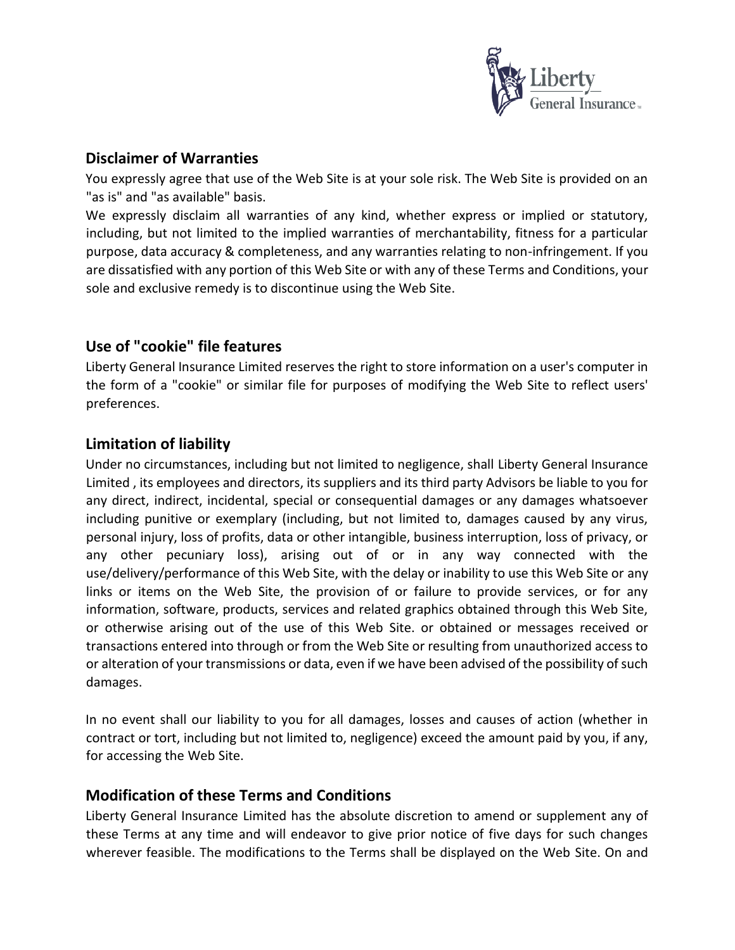

#### **Disclaimer of Warranties**

You expressly agree that use of the Web Site is at your sole risk. The Web Site is provided on an "as is" and "as available" basis.

We expressly disclaim all warranties of any kind, whether express or implied or statutory, including, but not limited to the implied warranties of merchantability, fitness for a particular purpose, data accuracy & completeness, and any warranties relating to non-infringement. If you are dissatisfied with any portion of this Web Site or with any of these Terms and Conditions, your sole and exclusive remedy is to discontinue using the Web Site.

## **Use of "cookie" file features**

Liberty General Insurance Limited reserves the right to store information on a user's computer in the form of a "cookie" or similar file for purposes of modifying the Web Site to reflect users' preferences.

## **Limitation of liability**

Under no circumstances, including but not limited to negligence, shall Liberty General Insurance Limited , its employees and directors, its suppliers and its third party Advisors be liable to you for any direct, indirect, incidental, special or consequential damages or any damages whatsoever including punitive or exemplary (including, but not limited to, damages caused by any virus, personal injury, loss of profits, data or other intangible, business interruption, loss of privacy, or any other pecuniary loss), arising out of or in any way connected with the use/delivery/performance of this Web Site, with the delay or inability to use this Web Site or any links or items on the Web Site, the provision of or failure to provide services, or for any information, software, products, services and related graphics obtained through this Web Site, or otherwise arising out of the use of this Web Site. or obtained or messages received or transactions entered into through or from the Web Site or resulting from unauthorized access to or alteration of your transmissions or data, even if we have been advised of the possibility of such damages.

In no event shall our liability to you for all damages, losses and causes of action (whether in contract or tort, including but not limited to, negligence) exceed the amount paid by you, if any, for accessing the Web Site.

#### **Modification of these Terms and Conditions**

Liberty General Insurance Limited has the absolute discretion to amend or supplement any of these Terms at any time and will endeavor to give prior notice of five days for such changes wherever feasible. The modifications to the Terms shall be displayed on the Web Site. On and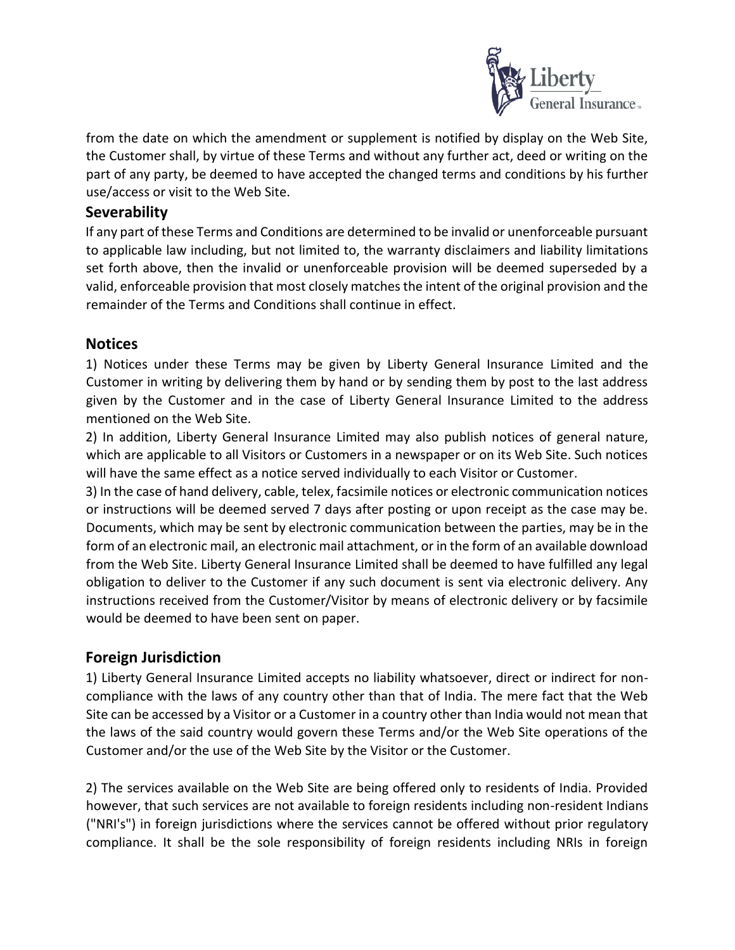

from the date on which the amendment or supplement is notified by display on the Web Site, the Customer shall, by virtue of these Terms and without any further act, deed or writing on the part of any party, be deemed to have accepted the changed terms and conditions by his further use/access or visit to the Web Site.

#### **Severability**

If any part of these Terms and Conditions are determined to be invalid or unenforceable pursuant to applicable law including, but not limited to, the warranty disclaimers and liability limitations set forth above, then the invalid or unenforceable provision will be deemed superseded by a valid, enforceable provision that most closely matches the intent of the original provision and the remainder of the Terms and Conditions shall continue in effect.

### **Notices**

1) Notices under these Terms may be given by Liberty General Insurance Limited and the Customer in writing by delivering them by hand or by sending them by post to the last address given by the Customer and in the case of Liberty General Insurance Limited to the address mentioned on the Web Site.

2) In addition, Liberty General Insurance Limited may also publish notices of general nature, which are applicable to all Visitors or Customers in a newspaper or on its Web Site. Such notices will have the same effect as a notice served individually to each Visitor or Customer.

3) In the case of hand delivery, cable, telex, facsimile notices or electronic communication notices or instructions will be deemed served 7 days after posting or upon receipt as the case may be. Documents, which may be sent by electronic communication between the parties, may be in the form of an electronic mail, an electronic mail attachment, or in the form of an available download from the Web Site. Liberty General Insurance Limited shall be deemed to have fulfilled any legal obligation to deliver to the Customer if any such document is sent via electronic delivery. Any instructions received from the Customer/Visitor by means of electronic delivery or by facsimile would be deemed to have been sent on paper.

### **Foreign Jurisdiction**

1) Liberty General Insurance Limited accepts no liability whatsoever, direct or indirect for noncompliance with the laws of any country other than that of India. The mere fact that the Web Site can be accessed by a Visitor or a Customer in a country other than India would not mean that the laws of the said country would govern these Terms and/or the Web Site operations of the Customer and/or the use of the Web Site by the Visitor or the Customer.

2) The services available on the Web Site are being offered only to residents of India. Provided however, that such services are not available to foreign residents including non-resident Indians ("NRI's") in foreign jurisdictions where the services cannot be offered without prior regulatory compliance. It shall be the sole responsibility of foreign residents including NRIs in foreign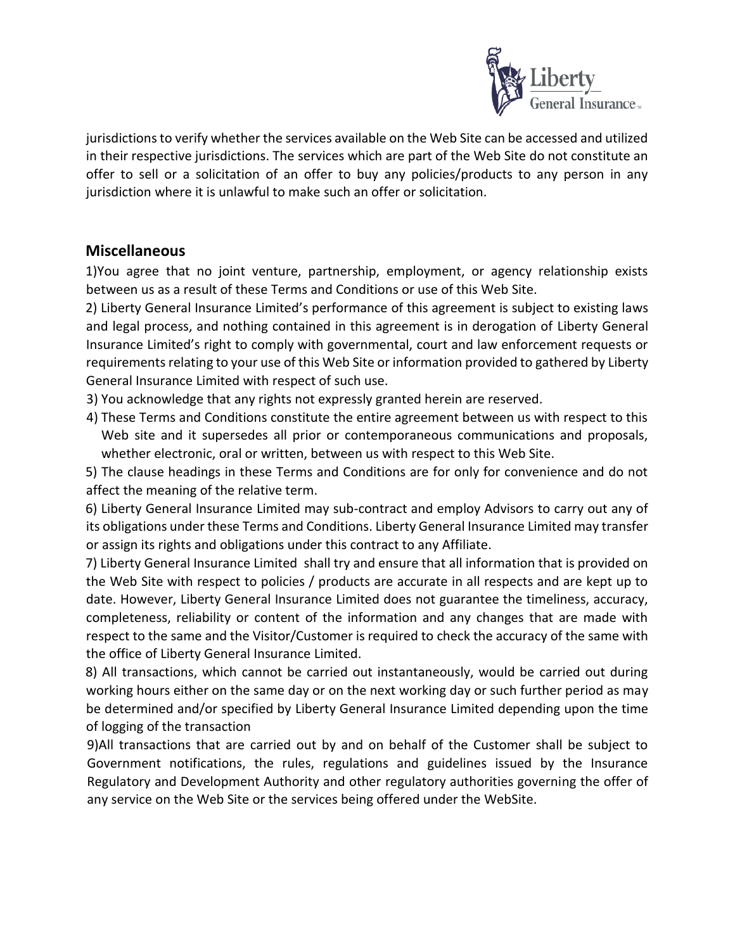

jurisdictions to verify whether the services available on the Web Site can be accessed and utilized in their respective jurisdictions. The services which are part of the Web Site do not constitute an offer to sell or a solicitation of an offer to buy any policies/products to any person in any jurisdiction where it is unlawful to make such an offer or solicitation.

#### **Miscellaneous**

1)You agree that no joint venture, partnership, employment, or agency relationship exists between us as a result of these Terms and Conditions or use of this Web Site.

2) Liberty General Insurance Limited's performance of this agreement is subject to existing laws and legal process, and nothing contained in this agreement is in derogation of Liberty General Insurance Limited's right to comply with governmental, court and law enforcement requests or requirements relating to your use of this Web Site or information provided to gathered by Liberty General Insurance Limited with respect of such use.

3) You acknowledge that any rights not expressly granted herein are reserved.

4) These Terms and Conditions constitute the entire agreement between us with respect to this Web site and it supersedes all prior or contemporaneous communications and proposals, whether electronic, oral or written, between us with respect to this Web Site.

5) The clause headings in these Terms and Conditions are for only for convenience and do not affect the meaning of the relative term.

6) Liberty General Insurance Limited may sub-contract and employ Advisors to carry out any of its obligations under these Terms and Conditions. Liberty General Insurance Limited may transfer or assign its rights and obligations under this contract to any Affiliate.

7) Liberty General Insurance Limited shall try and ensure that all information that is provided on the Web Site with respect to policies / products are accurate in all respects and are kept up to date. However, Liberty General Insurance Limited does not guarantee the timeliness, accuracy, completeness, reliability or content of the information and any changes that are made with respect to the same and the Visitor/Customer is required to check the accuracy of the same with the office of Liberty General Insurance Limited.

8) All transactions, which cannot be carried out instantaneously, would be carried out during working hours either on the same day or on the next working day or such further period as may be determined and/or specified by Liberty General Insurance Limited depending upon the time of logging of the transaction

9)All transactions that are carried out by and on behalf of the Customer shall be subject to Government notifications, the rules, regulations and guidelines issued by the Insurance Regulatory and Development Authority and other regulatory authorities governing the offer of any service on the Web Site or the services being offered under the WebSite.